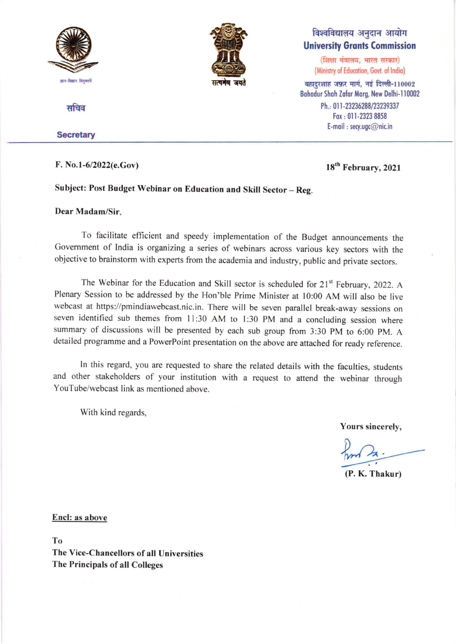

सचिव

#### **Secretary**

#### F. No.l-612022(e.Gov) 18th February, <sup>2021</sup>

विश्वविद्यालय अनुदान आयोग **University Grants Commission** 

(शिक्षा मंत्रालय, भारत सरकार) (Ministry of Education, Govt. of India)

 $\overline{\phantom{a}}$ बहादरशाह जफ़र मार्ग, नई दिल्ली-110002 Bahadur Shah Zafar Marg, New Delhi-110002 Ph.: 011-23236288/23239337 Fax: 011-2323 8858 E-mail: secy.ugc@nic.in

#### Subject: Post Budget Webinar on Education and Skill Sector - Reg.

#### Dear Madam/Sir.

To facilitate efficient and speedy implementation of the Budget announcements the Government of India is organizing a series of webinars across various key sectors with the objective to brainstorm with experts from the academia and industry, public and private sectors.

सत्यनेव जयते

The Webinar for the Education and Skill sector is scheduled for 21<sup>st</sup> February, 2022. A Plenary Session to be addressed by the Hon'ble Prime Minister at l0:00 AM will also be live webcast at [https://pmindiawebcast.nic.in.](https://pmindiawebcast.nic.in/) There will be seven parallel break-away sessions on seven identified sub themes from ll:30 AM to l:30 pM and a concluding session where summary of discussions will be presented by each sub group from 3:30 pM to 6:00 pM. A [detailed programme](https://www.ugc.ac.in/pdfnews/1836045_Annexure-I-detail-programme.pdf) and a PowerPoint [presentation](https://www.ugc.ac.in/pdfnews/8557775_Annexure-II-PPT-for-Webinar-LATEST.pdf) on the above are attached for ready reference.

ln this regard, you are requested to share the related details with the faculties, students and other stakeholders of your institution with a request to attend the webinar through YouTube/webcast link as mentioned above.

With kind regards.

Yours sincerely,

(P. K. Thakur)

Encl: as above

To The Vice-Chancellors of all Universities The Principals of all Colleges